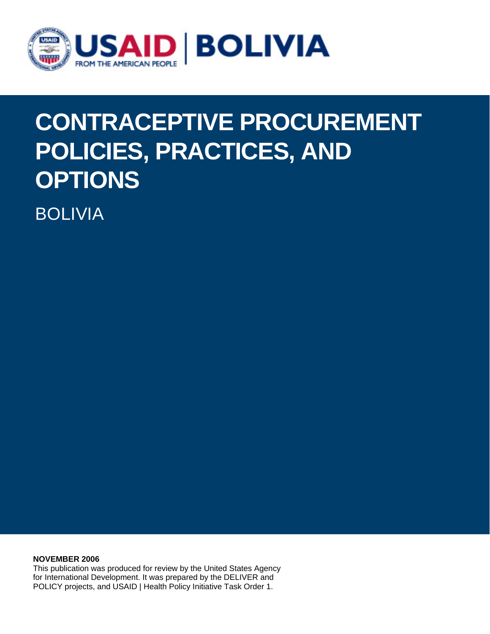

# **CONTRACEPTIVE PROCUREMENT POLICIES, PRACTICES, AND OPTIONS**

BOLIVIA

**NOVEMBER 2006** 

This publication was produced for review by the United States Agency for International Development. It was prepared by the DELIVER and POLICY projects, and USAID | Health Policy Initiative Task Order 1.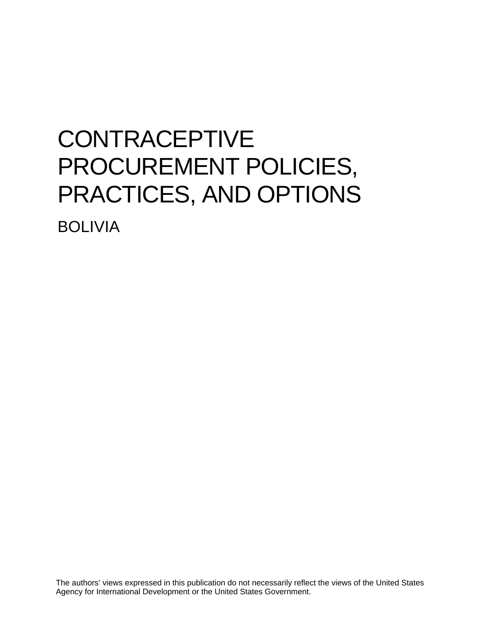# **CONTRACEPTIVE** PROCUREMENT POLICIES, PRACTICES, AND OPTIONS

BOLIVIA

The authors' views expressed in this publication do not necessarily reflect the views of the United States Agency for International Development or the United States Government.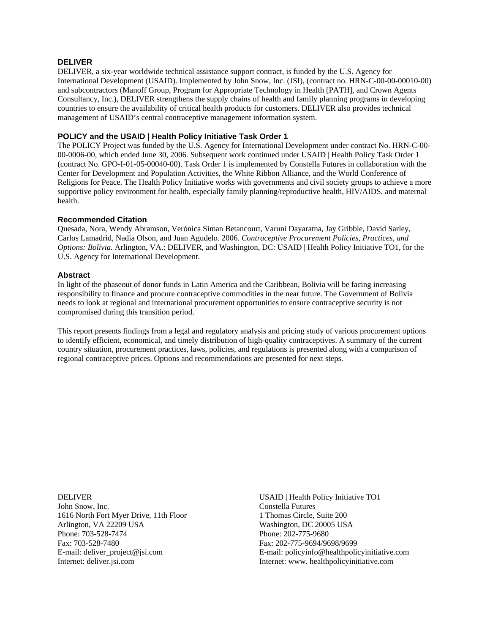#### **DELIVER**

 DELIVER, a six-year worldwide technical assistance support contract, is funded by the U.S. Agency for and subcontractors (Manoff Group, Program for Appropriate Technology in Health [PATH], and Crown Agents International Development (USAID). Implemented by John Snow, Inc. (JSI), (contract no. HRN-C-00-00-00010-00) Consultancy, Inc.), DELIVER strengthens the supply chains of health and family planning programs in developing countries to ensure the availability of critical health products for customers. DELIVER also provides technical management of USAID's central contraceptive management information system.

#### **POLICY and the USAID | Health Policy Initiative Task Order 1**

 The POLICY Project was funded by the U.S. Agency for International Development under contract No. HRN-C-00 00-0006-00, which ended June 30, 2006. Subsequent work continued under USAID | Health Policy Task Order 1 Center for Development and Population Activities, the White Ribbon Alliance, and the World Conference of (contract No. GPO-I-01-05-00040-00). Task Order 1 is implemented by Constella Futures in collaboration with the Religions for Peace. The Health Policy Initiative works with governments and civil society groups to achieve a more supportive policy environment for health, especially family planning/reproductive health, HIV/AIDS, and maternal health.

#### **Recommended Citation**

Quesada, Nora, Wendy Abramson, Verónica Siman Betancourt, Varuni Dayaratna, Jay Gribble, David Sarley, Carlos Lamadrid, Nadia Olson, and Juan Agudelo. 2006. *Contraceptive Procurement Policies, Practices, and Options: Bolivia.* Arlington, VA.: DELIVER, and Washington, DC: USAID | Health Policy Initiative TO1, for the U.S. Agency for International Development.

#### **Abstract**

 In light of the phaseout of donor funds in Latin America and the Caribbean, Bolivia will be facing increasing responsibility to finance and procure contraceptive commodities in the near future. The Government of Bolivia needs to look at regional and international procurement opportunities to ensure contraceptive security is not compromised during this transition period.

regional contraceptive prices. Options and recommendations are presented for next steps. This report presents findings from a legal and regulatory analysis and pricing study of various procurement options to identify efficient, economical, and timely distribution of high-quality contraceptives. A summary of the current country situation, procurement practices, laws, policies, and regulations is presented along with a comparison of regional contraceptive prices. Options and recommendations are presented for next steps. DELIVER USAID | Health Policy Initiative TO1

1616 North Fort Myer Drive, 11th Floor 1 Thomas Circle, Suite 200 John Snow, Inc.<br>1616 North Fort Myer Drive, 11th Floor<br>1816 North Fort Myer Drive, 11th Floor<br>1820 Thomas Circle, Suite 200 Arlington, VA 22209 USA Washington, DC 20005 USA Phone: 703-528-7474 Phone: 202-775-9680 Fax: 703-528-7480 Fax: 202-775-9694/9698/9699

**USAID** | Health Policy Initiative TO1 E-mail: deliver project@jsi.com E-mail: policyinfo@healthpolicyinitiative.com Internet: deliver.jsi.com Internet: www. healthpolicyinitiative.com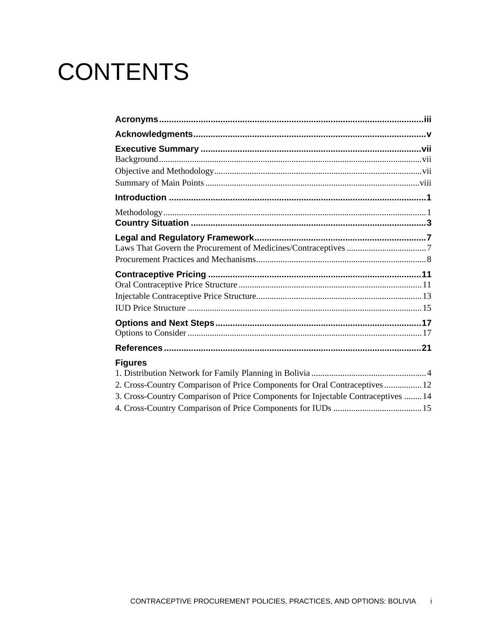# **CONTENTS**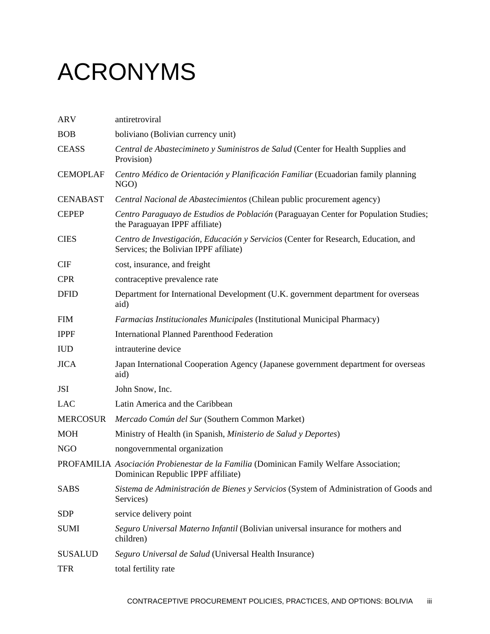# <span id="page-6-0"></span>ACRONYMS

| <b>ARV</b>      | antiretroviral                                                                                                                |
|-----------------|-------------------------------------------------------------------------------------------------------------------------------|
| <b>BOB</b>      | boliviano (Bolivian currency unit)                                                                                            |
| <b>CEASS</b>    | Central de Abastecimineto y Suministros de Salud (Center for Health Supplies and<br>Provision)                                |
| <b>CEMOPLAF</b> | Centro Médico de Orientación y Planificación Familiar (Ecuadorian family planning<br>NGO)                                     |
| <b>CENABAST</b> | Central Nacional de Abastecimientos (Chilean public procurement agency)                                                       |
| <b>CEPEP</b>    | Centro Paraguayo de Estudios de Población (Paraguayan Center for Population Studies;<br>the Paraguayan IPPF affiliate)        |
| <b>CIES</b>     | Centro de Investigación, Educación y Servicios (Center for Research, Education, and<br>Services; the Bolivian IPPF affliate)  |
| <b>CIF</b>      | cost, insurance, and freight                                                                                                  |
| <b>CPR</b>      | contraceptive prevalence rate                                                                                                 |
| <b>DFID</b>     | Department for International Development (U.K. government department for overseas<br>aid)                                     |
| <b>FIM</b>      | Farmacias Institucionales Municipales (Institutional Municipal Pharmacy)                                                      |
| <b>IPPF</b>     | <b>International Planned Parenthood Federation</b>                                                                            |
| <b>IUD</b>      | intrauterine device                                                                                                           |
| <b>JICA</b>     | Japan International Cooperation Agency (Japanese government department for overseas<br>aid)                                   |
| JSI             | John Snow, Inc.                                                                                                               |
| <b>LAC</b>      | Latin America and the Caribbean                                                                                               |
| <b>MERCOSUR</b> | Mercado Común del Sur (Southern Common Market)                                                                                |
| <b>MOH</b>      | Ministry of Health (in Spanish, Ministerio de Salud y Deportes)                                                               |
| <b>NGO</b>      | nongovernmental organization                                                                                                  |
|                 | PROFAMILIA Asociación Probienestar de la Familia (Dominican Family Welfare Association;<br>Dominican Republic IPPF affiliate) |
| <b>SABS</b>     | Sistema de Administración de Bienes y Servicios (System of Administration of Goods and<br>Services)                           |
| <b>SDP</b>      | service delivery point                                                                                                        |
| <b>SUMI</b>     | Seguro Universal Materno Infantil (Bolivian universal insurance for mothers and<br>children)                                  |
| <b>SUSALUD</b>  | Seguro Universal de Salud (Universal Health Insurance)                                                                        |
| <b>TFR</b>      | total fertility rate                                                                                                          |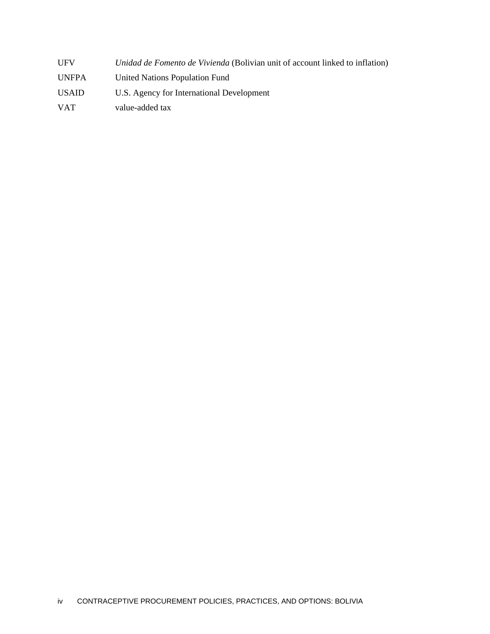- UFV *Unidad de Fomento de Vivienda* (Bolivian unit of account linked to inflation)
- UNFPA United Nations Population Fund
- USAID U.S. Agency for International Development
- VAT value-added tax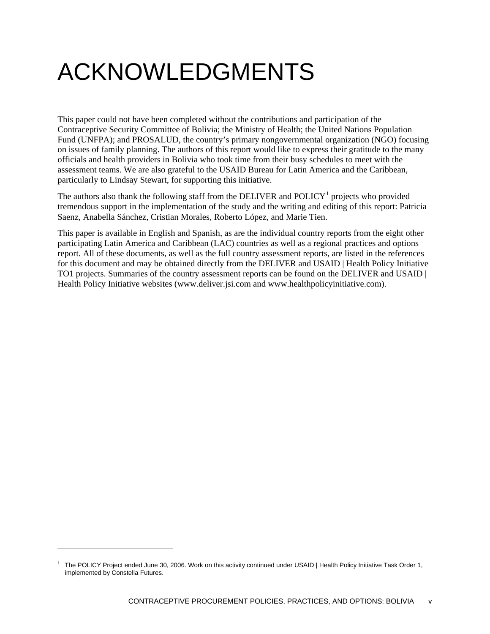# <span id="page-8-0"></span>ACKNOWLEDGMENTS

This paper could not have been completed without the contributions and participation of the Contraceptive Security Committee of Bolivia; the Ministry of Health; the United Nations Population Fund (UNFPA); and PROSALUD, the country's primary nongovernmental organization (NGO) focusing on issues of family planning. The authors of this report would like to express their gratitude to the many officials and health providers in Bolivia who took time from their busy schedules to meet with the assessment teams. We are also grateful to the USAID Bureau for Latin America and the Caribbean, particularly to Lindsay Stewart, for supporting this initiative.

The authors also thank the following staff from the DELIVER and POLICY<sup>[1](#page-8-1)</sup> projects who provided tremendous support in the implementation of the study and the writing and editing of this report: Patricia Saenz, Anabella Sánchez, Cristian Morales, Roberto López, and Marie Tien.

This paper is available in English and Spanish, as are the individual country reports from the eight other participating Latin America and Caribbean (LAC) countries as well as a regional practices and options report. All of these documents, as well as the full country assessment reports, are listed in the references for this document and may be obtained directly from the DELIVER and USAID | Health Policy Initiative TO1 projects. Summaries of the country assessment reports can be found on the DELIVER and USAID | Health Policy Initiative websites (www.deliver.jsi.com and www.healthpolicyinitiative.com).

l

<span id="page-8-1"></span><sup>&</sup>lt;sup>1</sup> The POLICY Project ended June 30, 2006. Work on this activity continued under USAID | Health Policy Initiative Task Order 1, implemented by Constella Futures.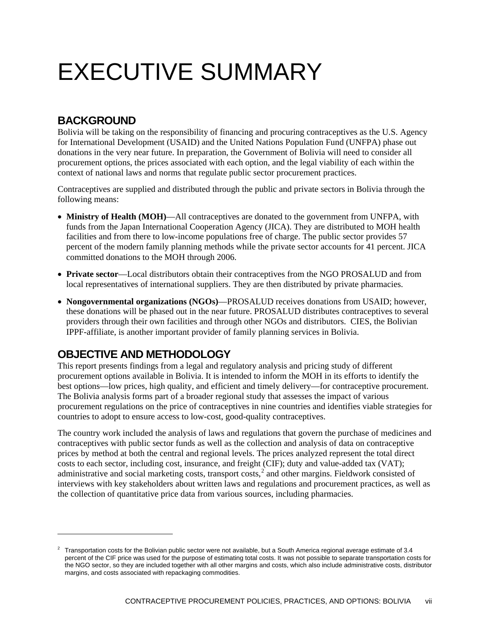# <span id="page-10-0"></span>EXECUTIVE SUMMARY

## **BACKGROUND**

l

Bolivia will be taking on the responsibility of financing and procuring contraceptives as the U.S. Agency for International Development (USAID) and the United Nations Population Fund (UNFPA) phase out donations in the very near future. In preparation, the Government of Bolivia will need to consider all procurement options, the prices associated with each option, and the legal viability of each within the context of national laws and norms that regulate public sector procurement practices.

Contraceptives are supplied and distributed through the public and private sectors in Bolivia through the following means:

- **Ministry of Health (MOH)—All contraceptives are donated to the government from UNFPA, with** funds from the Japan International Cooperation Agency (JICA). They are distributed to MOH health facilities and from there to low-income populations free of charge. The public sector provides 57 percent of the modern family planning methods while the private sector accounts for 41 percent. JICA committed donations to the MOH through 2006.
- • **Private sector**—Local distributors obtain their contraceptives from the NGO PROSALUD and from local representatives of international suppliers. They are then distributed by private pharmacies.
- • **Nongovernmental organizations (NGOs)**—PROSALUD receives donations from USAID; however, these donations will be phased out in the near future. PROSALUD distributes contraceptives to several providers through their own facilities and through other NGOs and distributors. CIES, the Bolivian IPPF-affiliate, is another important provider of family planning services in Bolivia.

## **OBJECTIVE AND METHODOLOGY**

This report presents findings from a legal and regulatory analysis and pricing study of different procurement options available in Bolivia. It is intended to inform the MOH in its efforts to identify the best options—low prices, high quality, and efficient and timely delivery—for contraceptive procurement. The Bolivia analysis forms part of a broader regional study that assesses the impact of various procurement regulations on the price of contraceptives in nine countries and identifies viable strategies for countries to adopt to ensure access to low-cost, good-quality contraceptives.

The country work included the analysis of laws and regulations that govern the purchase of medicines and contraceptives with public sector funds as well as the collection and analysis of data on contraceptive prices by method at both the central and regional levels. The prices analyzed represent the total direct costs to each sector, including cost, insurance, and freight (CIF); duty and value-added tax (VAT); administrative and social marketing costs, transport  $costs$ , and other margins. Fieldwork consisted of interviews with key stakeholders about written laws and regulations and procurement practices, as well as the collection of quantitative price data from various sources, including pharmacies.

<span id="page-10-1"></span>Transportation costs for the Bolivian public sector were not available, but a South America regional average estimate of 3.4 percent of the CIF price was used for the purpose of estimating total costs. It was not possible to separate transportation costs for the NGO sector, so they are included together with all other margins and costs, which also include administrative costs, distributor margins, and costs associated with repackaging commodities. 2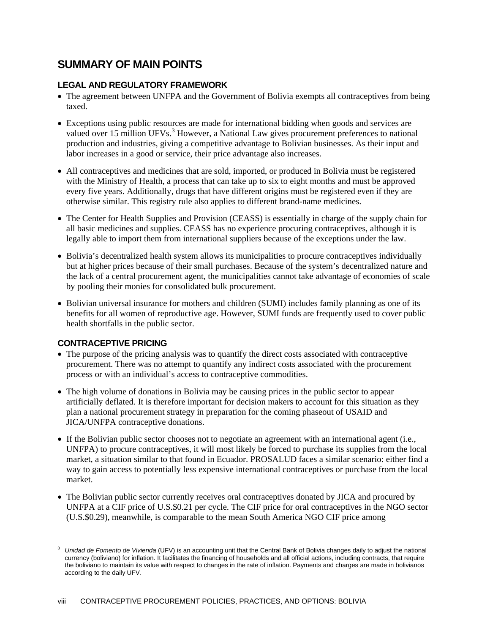## <span id="page-11-0"></span>**SUMMARY OF MAIN POINTS**

### **LEGAL AND REGULATORY FRAMEWORK**

- The agreement between UNFPA and the Government of Bolivia exempts all contraceptives from being taxed.
- Exceptions using public resources are made for international bidding when goods and services are valued over 15 million UFVs.<sup>[3](#page-11-1)</sup> However, a National Law gives procurement preferences to national production and industries, giving a competitive advantage to Bolivian businesses. As their input and labor increases in a good or service, their price advantage also increases.
- All contraceptives and medicines that are sold, imported, or produced in Bolivia must be registered with the Ministry of Health, a process that can take up to six to eight months and must be approved every five years. Additionally, drugs that have different origins must be registered even if they are otherwise similar. This registry rule also applies to different brand-name medicines.
- The Center for Health Supplies and Provision (CEASS) is essentially in charge of the supply chain for all basic medicines and supplies. CEASS has no experience procuring contraceptives, although it is legally able to import them from international suppliers because of the exceptions under the law.
- Bolivia's decentralized health system allows its municipalities to procure contraceptives individually but at higher prices because of their small purchases. Because of the system's decentralized nature and the lack of a central procurement agent, the municipalities cannot take advantage of economies of scale by pooling their monies for consolidated bulk procurement.
- Bolivian universal insurance for mothers and children (SUMI) includes family planning as one of its benefits for all women of reproductive age. However, SUMI funds are frequently used to cover public health shortfalls in the public sector.

### **CONTRACEPTIVE PRICING**

l

- The purpose of the pricing analysis was to quantify the direct costs associated with contraceptive procurement. There was no attempt to quantify any indirect costs associated with the procurement process or with an individual's access to contraceptive commodities.
- The high volume of donations in Bolivia may be causing prices in the public sector to appear artificially deflated. It is therefore important for decision makers to account for this situation as they plan a national procurement strategy in preparation for the coming phaseout of USAID and JICA/UNFPA contraceptive donations.
- If the Bolivian public sector chooses not to negotiate an agreement with an international agent (i.e., UNFPA) to procure contraceptives, it will most likely be forced to purchase its supplies from the local market, a situation similar to that found in Ecuador. PROSALUD faces a similar scenario: either find a way to gain access to potentially less expensive international contraceptives or purchase from the local market.
- The Bolivian public sector currently receives oral contraceptives donated by JICA and procured by UNFPA at a CIF price of U.S.\$0.21 per cycle. The CIF price for oral contraceptives in the NGO sector (U.S.\$0.29), meanwhile, is comparable to the mean South America NGO CIF price among

<span id="page-11-1"></span>*Unidad de Fomento de Vivienda* (UFV) is an accounting unit that the Central Bank of Bolivia changes daily to adjust the national currency (boliviano) for inflation. It facilitates the financing of households and all official actions, including contracts, that require the boliviano to maintain its value with respect to changes in the rate of inflation. Payments and charges are made in bolivianos according to the daily UFV. 3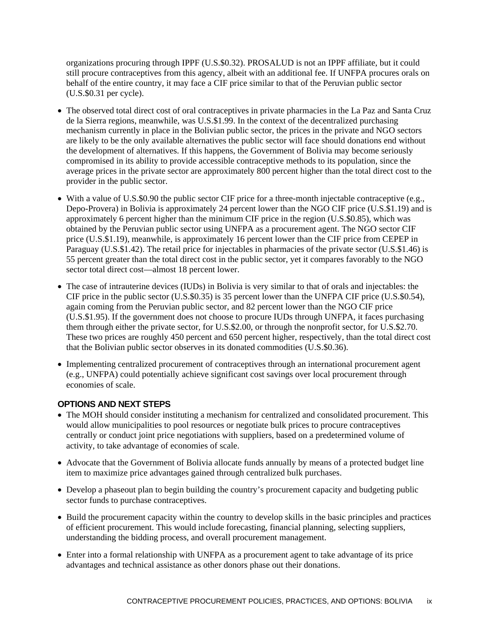organizations procuring through IPPF (U.S.\$0.32). PROSALUD is not an IPPF affiliate, but it could still procure contraceptives from this agency, albeit with an additional fee. If UNFPA procures orals on behalf of the entire country, it may face a CIF price similar to that of the Peruvian public sector (U.S.\$0.31 per cycle).

- The observed total direct cost of oral contraceptives in private pharmacies in the La Paz and Santa Cruz de la Sierra regions, meanwhile, was U.S.\$1.99. In the context of the decentralized purchasing mechanism currently in place in the Bolivian public sector, the prices in the private and NGO sectors are likely to be the only available alternatives the public sector will face should donations end without the development of alternatives. If this happens, the Government of Bolivia may become seriously compromised in its ability to provide accessible contraceptive methods to its population, since the average prices in the private sector are approximately 800 percent higher than the total direct cost to the provider in the public sector.
- With a value of U.S.\$0.90 the public sector CIF price for a three-month injectable contraceptive (e.g., Depo-Provera) in Bolivia is approximately 24 percent lower than the NGO CIF price (U.S.\$1.19) and is approximately 6 percent higher than the minimum CIF price in the region (U.S.\$0.85), which was obtained by the Peruvian public sector using UNFPA as a procurement agent. The NGO sector CIF price (U.S.\$1.19), meanwhile, is approximately 16 percent lower than the CIF price from CEPEP in Paraguay (U.S.\$1.42). The retail price for injectables in pharmacies of the private sector (U.S.\$1.46) is 55 percent greater than the total direct cost in the public sector, yet it compares favorably to the NGO sector total direct cost—almost 18 percent lower.
- The case of intrauterine devices (IUDs) in Bolivia is very similar to that of orals and injectables: the CIF price in the public sector (U.S.\$0.35) is 35 percent lower than the UNFPA CIF price (U.S.\$0.54), again coming from the Peruvian public sector, and 82 percent lower than the NGO CIF price (U.S.\$1.95). If the government does not choose to procure IUDs through UNFPA, it faces purchasing them through either the private sector, for U.S.\$2.00, or through the nonprofit sector, for U.S.\$2.70. These two prices are roughly 450 percent and 650 percent higher, respectively, than the total direct cost that the Bolivian public sector observes in its donated commodities  $(U.S. \$0.36)$ .
- Implementing centralized procurement of contraceptives through an international procurement agent (e.g., UNFPA) could potentially achieve significant cost savings over local procurement through economies of scale.

### **OPTIONS AND NEXT STEPS**

- The MOH should consider instituting a mechanism for centralized and consolidated procurement. This would allow municipalities to pool resources or negotiate bulk prices to procure contraceptives centrally or conduct joint price negotiations with suppliers, based on a predetermined volume of activity, to take advantage of economies of scale.
- Advocate that the Government of Bolivia allocate funds annually by means of a protected budget line item to maximize price advantages gained through centralized bulk purchases.
- Develop a phaseout plan to begin building the country's procurement capacity and budgeting public sector funds to purchase contraceptives.
- Build the procurement capacity within the country to develop skills in the basic principles and practices of efficient procurement. This would include forecasting, financial planning, selecting suppliers, understanding the bidding process, and overall procurement management.
- Enter into a formal relationship with UNFPA as a procurement agent to take advantage of its price advantages and technical assistance as other donors phase out their donations.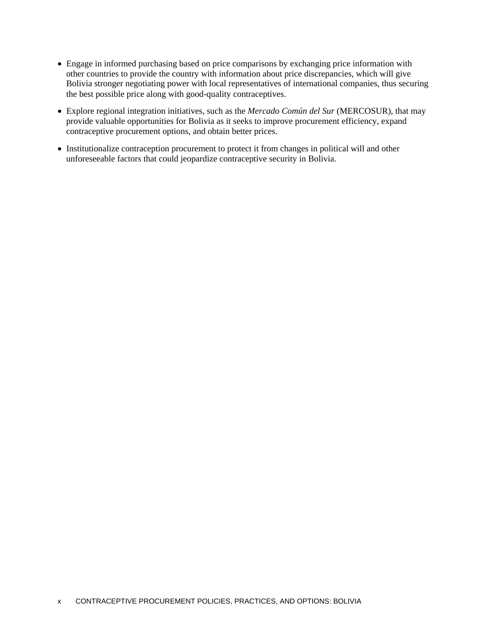- Engage in informed purchasing based on price comparisons by exchanging price information with other countries to provide the country with information about price discrepancies, which will give Bolivia stronger negotiating power with local representatives of international companies, thus securing the best possible price along with good-quality contraceptives.
- • Explore regional integration initiatives, such as the *Mercado Común del Sur* (MERCOSUR), that may provide valuable opportunities for Bolivia as it seeks to improve procurement efficiency, expand contraceptive procurement options, and obtain better prices.
- Institutionalize contraception procurement to protect it from changes in political will and other unforeseeable factors that could jeopardize contraceptive security in Bolivia.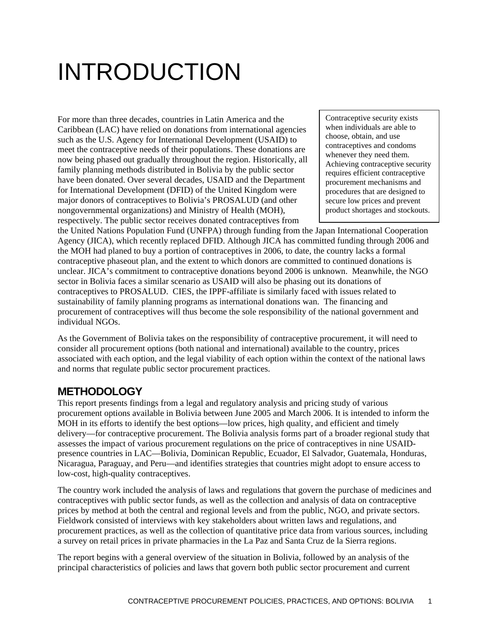# <span id="page-14-0"></span>INTRODUCTION

For more than three decades, countries in Latin America and the Caribbean (LAC) have relied on donations from international agencies such as the U.S. Agency for International Development (USAID) to meet the contraceptive needs of their populations. These donations are now being phased out gradually throughout the region. Historically, all family planning methods distributed in Bolivia by the public sector have been donated. Over several decades, USAID and the Department for International Development (DFID) of the United Kingdom were major donors of contraceptives to Bolivia's PROSALUD (and other nongovernmental organizations) and Ministry of Health (MOH), respectively. The public sector receives donated contraceptives from

Contraceptive security exists when individuals are able to choose, obtain, and use contraceptives and condoms whenever they need them. Achieving contraceptive security requires efficient contraceptive procurement mechanisms and procedures that are designed to secure low prices and prevent product shortages and stockouts.

the United Nations Population Fund (UNFPA) through funding from the Japan International Cooperation Agency (JICA), which recently replaced DFID. Although JICA has committed funding through 2006 and the MOH had planed to buy a portion of contraceptives in 2006, to date, the country lacks a formal contraceptive phaseout plan, and the extent to which donors are committed to continued donations is unclear. JICA's commitment to contraceptive donations beyond 2006 is unknown. Meanwhile, the NGO sector in Bolivia faces a similar scenario as USAID will also be phasing out its donations of contraceptives to PROSALUD. CIES, the IPPF-affiliate is similarly faced with issues related to sustainability of family planning programs as international donations wan. The financing and procurement of contraceptives will thus become the sole responsibility of the national government and individual NGOs.

As the Government of Bolivia takes on the responsibility of contraceptive procurement, it will need to consider all procurement options (both national and international) available to the country, prices associated with each option, and the legal viability of each option within the context of the national laws and norms that regulate public sector procurement practices.

## **METHODOLOGY**

This report presents findings from a legal and regulatory analysis and pricing study of various procurement options available in Bolivia between June 2005 and March 2006. It is intended to inform the MOH in its efforts to identify the best options—low prices, high quality, and efficient and timely delivery—for contraceptive procurement. The Bolivia analysis forms part of a broader regional study that assesses the impact of various procurement regulations on the price of contraceptives in nine USAIDpresence countries in LAC—Bolivia, Dominican Republic, Ecuador, El Salvador, Guatemala, Honduras, Nicaragua, Paraguay, and Peru—and identifies strategies that countries might adopt to ensure access to low-cost, high-quality contraceptives.

The country work included the analysis of laws and regulations that govern the purchase of medicines and contraceptives with public sector funds, as well as the collection and analysis of data on contraceptive prices by method at both the central and regional levels and from the public, NGO, and private sectors. Fieldwork consisted of interviews with key stakeholders about written laws and regulations, and procurement practices, as well as the collection of quantitative price data from various sources, including a survey on retail prices in private pharmacies in the La Paz and Santa Cruz de la Sierra regions.

The report begins with a general overview of the situation in Bolivia, followed by an analysis of the principal characteristics of policies and laws that govern both public sector procurement and current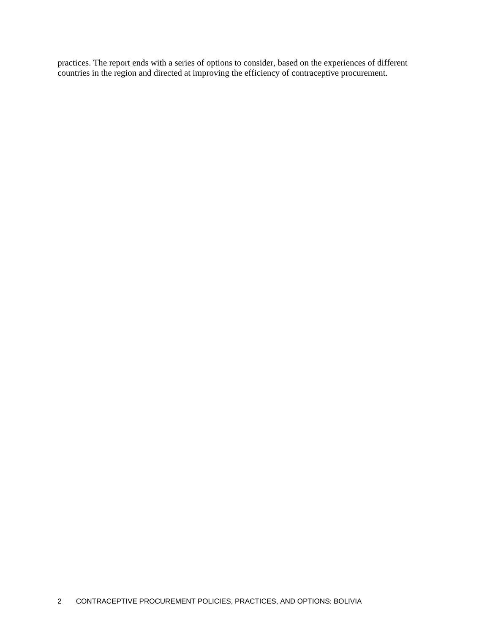practices. The report ends with a series of options to consider, based on the experiences of different countries in the region and directed at improving the efficiency of contraceptive procurement.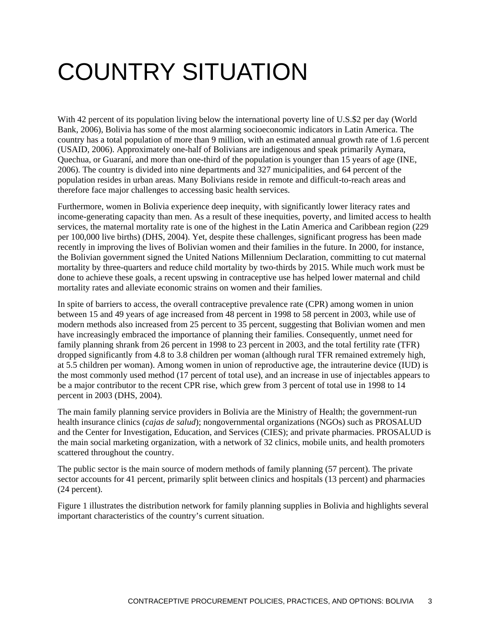# COUNTRY SITUATION

With 42 percent of its population living below the international poverty line of U.S.\$2 per day (World Bank, 2006), Bolivia has some of the most alarming socioeconomic indicators in Latin America. The country has a total population of more than 9 million, with an estimated annual growth rate of 1.6 percent (USAID, 2006). Approximately one-half of Bolivians are indigenous and speak primarily Aymara, Quechua, or Guaraní, and more than one-third of the population is younger than 15 years of age (INE, 2006). The country is divided into nine departments and 327 municipalities, and 64 percent of the population resides in urban areas. Many Bolivians reside in remote and difficult-to-reach areas and therefore face major challenges to accessing basic health services.

Furthermore, women in Bolivia experience deep inequity, with significantly lower literacy rates and income-generating capacity than men. As a result of these inequities, poverty, and limited access to health services, the maternal mortality rate is one of the highest in the Latin America and Caribbean region (229 per 100,000 live births) (DHS, 2004). Yet, despite these challenges, significant progress has been made recently in improving the lives of Bolivian women and their families in the future. In 2000, for instance, the Bolivian government signed the United Nations Millennium Declaration, committing to cut maternal mortality by three-quarters and reduce child mortality by two-thirds by 2015. While much work must be done to achieve these goals, a recent upswing in contraceptive use has helped lower maternal and child mortality rates and alleviate economic strains on women and their families.

In spite of barriers to access, the overall contraceptive prevalence rate (CPR) among women in union between 15 and 49 years of age increased from 48 percent in 1998 to 58 percent in 2003, while use of modern methods also increased from 25 percent to 35 percent, suggesting that Bolivian women and men have increasingly embraced the importance of planning their families. Consequently, unmet need for family planning shrank from 26 percent in 1998 to 23 percent in 2003, and the total fertility rate (TFR) dropped significantly from 4.8 to 3.8 children per woman (although rural TFR remained extremely high, at 5.5 children per woman). Among women in union of reproductive age, the intrauterine device (IUD) is the most commonly used method (17 percent of total use), and an increase in use of injectables appears to be a major contributor to the recent CPR rise, which grew from 3 percent of total use in 1998 to 14 percent in 2003 (DHS, 2004).

The main family planning service providers in Bolivia are the Ministry of Health; the government-run health insurance clinics (*cajas de salud*); nongovernmental organizations (NGOs) such as PROSALUD and the Center for Investigation, Education, and Services (CIES); and private pharmacies. PROSALUD is the main social marketing organization, with a network of 32 clinics, mobile units, and health promoters scattered throughout the country.

The public sector is the main source of modern methods of family planning (57 percent). The private sector accounts for 41 percent, primarily split between clinics and hospitals (13 percent) and pharmacies (24 percent).

[Figure 1](#page-17-0) illustrates the distribution network for family planning supplies in Bolivia and highlights several important characteristics of the country's current situation.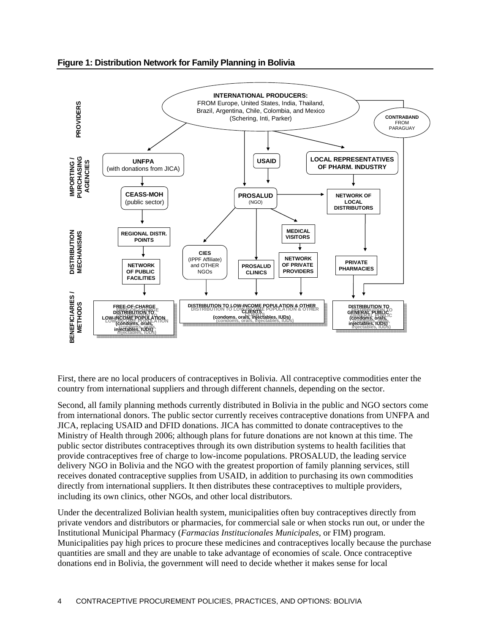<span id="page-17-0"></span>



First, there are no local producers of contraceptives in Bolivia. All contraceptive commodities enter the country from international suppliers and through different channels, depending on the sector.

Second, all family planning methods currently distributed in Bolivia in the public and NGO sectors come from international donors. The public sector currently receives contraceptive donations from UNFPA and JICA, replacing USAID and DFID donations. JICA has committed to donate contraceptives to the Ministry of Health through 2006; although plans for future donations are not known at this time. The public sector distributes contraceptives through its own distribution systems to health facilities that provide contraceptives free of charge to low-income populations. PROSALUD, the leading service delivery NGO in Bolivia and the NGO with the greatest proportion of family planning services, still receives donated contraceptive supplies from USAID, in addition to purchasing its own commodities directly from international suppliers. It then distributes these contraceptives to multiple providers, including its own clinics, other NGOs, and other local distributors.

Under the decentralized Bolivian health system, municipalities often buy contraceptives directly from private vendors and distributors or pharmacies, for commercial sale or when stocks run out, or under the Institutional Municipal Pharmacy (*Farmacias Institucionales Municipales*, or FIM) program. Municipalities pay high prices to procure these medicines and contraceptives locally because the purchase quantities are small and they are unable to take advantage of economies of scale. Once contraceptive donations end in Bolivia, the government will need to decide whether it makes sense for local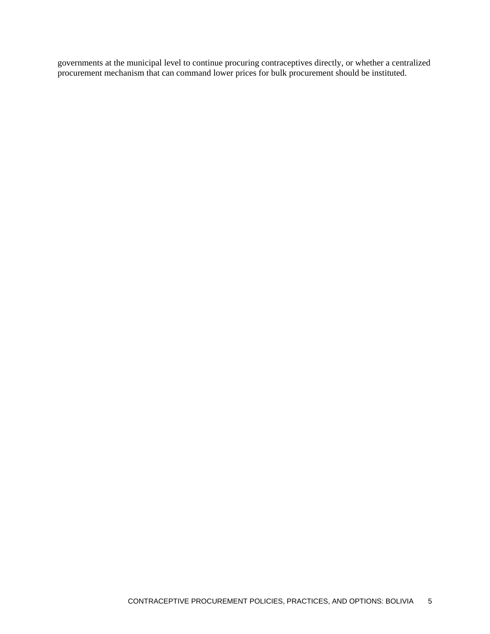governments at the municipal level to continue procuring contraceptives directly, or whether a centralized procurement mechanism that can command lower prices for bulk procurement should be instituted.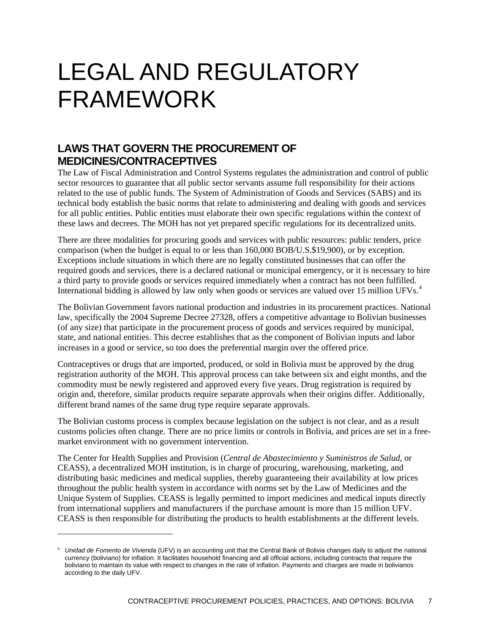## <span id="page-20-0"></span>LEGAL AND REGULATORY FRAMEWORK

## **LAWS THAT GOVERN THE PROCUREMENT OF MEDICINES/CONTRACEPTIVES**

The Law of Fiscal Administration and Control Systems regulates the administration and control of public sector resources to guarantee that all public sector servants assume full responsibility for their actions related to the use of public funds. The System of Administration of Goods and Services (SABS) and its technical body establish the basic norms that relate to administering and dealing with goods and services for all public entities. Public entities must elaborate their own specific regulations within the context of these laws and decrees. The MOH has not yet prepared specific regulations for its decentralized units.

There are three modalities for procuring goods and services with public resources: public tenders, price comparison (when the budget is equal to or less than 160,000 BOB/U.S.\$19,900), or by exception. Exceptions include situations in which there are no legally constituted businesses that can offer the required goods and services, there is a declared national or municipal emergency, or it is necessary to hire a third party to provide goods or services required immediately when a contract has not been fulfilled. International bidding is allowed by law only when goods or services are valued over 15 million UFVs.[4](#page-20-1)

The Bolivian Government favors national production and industries in its procurement practices. National law, specifically the 2004 Supreme Decree 27328, offers a competitive advantage to Bolivian businesses (of any size) that participate in the procurement process of goods and services required by municipal, state, and national entities. This decree establishes that as the component of Bolivian inputs and labor increases in a good or service, so too does the preferential margin over the offered price.

Contraceptives or drugs that are imported, produced, or sold in Bolivia must be approved by the drug registration authority of the MOH. This approval process can take between six and eight months, and the commodity must be newly registered and approved every five years. Drug registration is required by origin and, therefore, similar products require separate approvals when their origins differ. Additionally, different brand names of the same drug type require separate approvals.

The Bolivian customs process is complex because legislation on the subject is not clear, and as a result customs policies often change. There are no price limits or controls in Bolivia, and prices are set in a freemarket environment with no government intervention.

The Center for Health Supplies and Provision (*Central de Abastecimiento y Suministros de Salud*, or CEASS), a decentralized MOH institution, is in charge of procuring, warehousing, marketing, and distributing basic medicines and medical supplies, thereby guaranteeing their availability at low prices throughout the public health system in accordance with norms set by the Law of Medicines and the Unique System of Supplies. CEASS is legally permitted to import medicines and medical inputs directly from international suppliers and manufacturers if the purchase amount is more than 15 million UFV. CEASS is then responsible for distributing the products to health establishments at the different levels.

l

<span id="page-20-1"></span>*Unidad de Fomento de Vivienda* (UFV) is an accounting unit that the Central Bank of Bolivia changes daily to adjust the national currency (boliviano) for inflation. It facilitates household financing and all official actions, including contracts that require the boliviano to maintain its value with respect to changes in the rate of inflation. Payments and charges are made in bolivianos according to the daily UFV. 4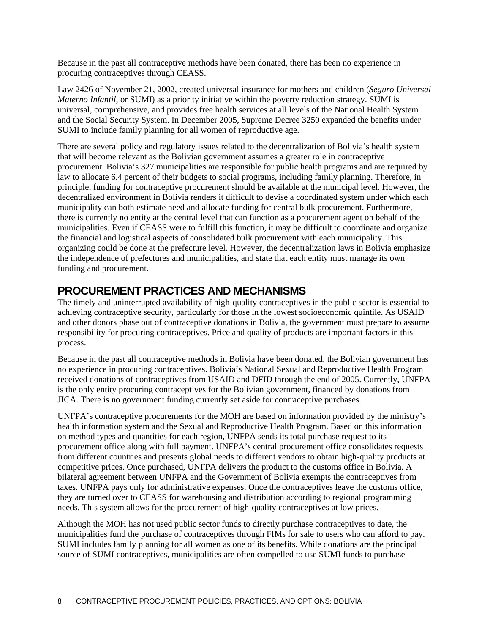Because in the past all contraceptive methods have been donated, there has been no experience in procuring contraceptives through CEASS.

Law 2426 of November 21, 2002, created universal insurance for mothers and children (*Seguro Universal Materno Infantil*, or SUMI) as a priority initiative within the poverty reduction strategy. SUMI is universal, comprehensive, and provides free health services at all levels of the National Health System and the Social Security System. In December 2005, Supreme Decree 3250 expanded the benefits under SUMI to include family planning for all women of reproductive age.

There are several policy and regulatory issues related to the decentralization of Bolivia's health system that will become relevant as the Bolivian government assumes a greater role in contraceptive procurement. Bolivia's 327 municipalities are responsible for public health programs and are required by law to allocate 6.4 percent of their budgets to social programs, including family planning. Therefore, in principle, funding for contraceptive procurement should be available at the municipal level. However, the decentralized environment in Bolivia renders it difficult to devise a coordinated system under which each municipality can both estimate need and allocate funding for central bulk procurement. Furthermore, there is currently no entity at the central level that can function as a procurement agent on behalf of the municipalities. Even if CEASS were to fulfill this function, it may be difficult to coordinate and organize the financial and logistical aspects of consolidated bulk procurement with each municipality. This organizing could be done at the prefecture level. However, the decentralization laws in Bolivia emphasize the independence of prefectures and municipalities, and state that each entity must manage its own funding and procurement.

## **PROCUREMENT PRACTICES AND MECHANISMS**

The timely and uninterrupted availability of high-quality contraceptives in the public sector is essential to achieving contraceptive security, particularly for those in the lowest socioeconomic quintile. As USAID and other donors phase out of contraceptive donations in Bolivia, the government must prepare to assume responsibility for procuring contraceptives. Price and quality of products are important factors in this process.

Because in the past all contraceptive methods in Bolivia have been donated, the Bolivian government has no experience in procuring contraceptives. Bolivia's National Sexual and Reproductive Health Program received donations of contraceptives from USAID and DFID through the end of 2005. Currently, UNFPA is the only entity procuring contraceptives for the Bolivian government, financed by donations from JICA. There is no government funding currently set aside for contraceptive purchases.

UNFPA's contraceptive procurements for the MOH are based on information provided by the ministry's health information system and the Sexual and Reproductive Health Program. Based on this information on method types and quantities for each region, UNFPA sends its total purchase request to its procurement office along with full payment. UNFPA's central procurement office consolidates requests from different countries and presents global needs to different vendors to obtain high-quality products at competitive prices. Once purchased, UNFPA delivers the product to the customs office in Bolivia. A bilateral agreement between UNFPA and the Government of Bolivia exempts the contraceptives from taxes. UNFPA pays only for administrative expenses. Once the contraceptives leave the customs office, they are turned over to CEASS for warehousing and distribution according to regional programming needs. This system allows for the procurement of high-quality contraceptives at low prices.

Although the MOH has not used public sector funds to directly purchase contraceptives to date, the municipalities fund the purchase of contraceptives through FIMs for sale to users who can afford to pay. SUMI includes family planning for all women as one of its benefits. While donations are the principal source of SUMI contraceptives, municipalities are often compelled to use SUMI funds to purchase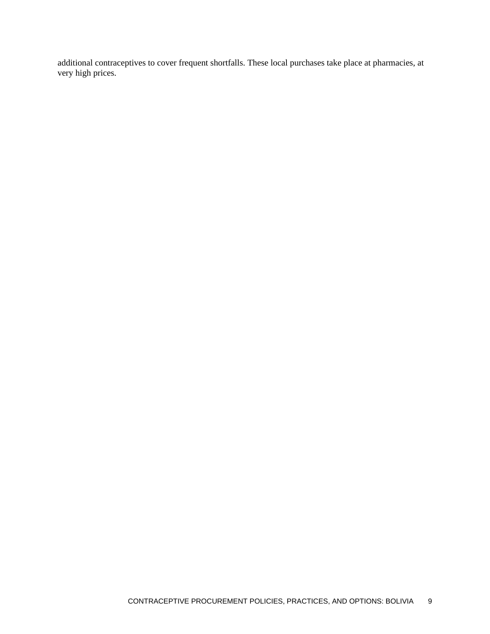additional contraceptives to cover frequent shortfalls. These local purchases take place at pharmacies, at very high prices.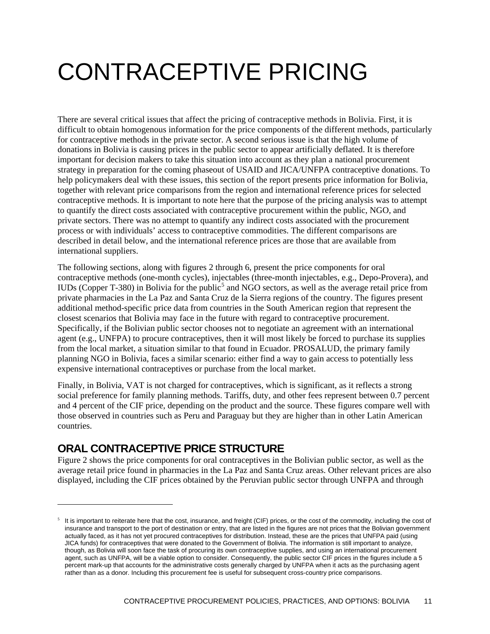# <span id="page-24-0"></span>CONTRACEPTIVE PRICING

There are several critical issues that affect the pricing of contraceptive methods in Bolivia. First, it is difficult to obtain homogenous information for the price components of the different methods, particularly for contraceptive methods in the private sector. A second serious issue is that the high volume of donations in Bolivia is causing prices in the public sector to appear artificially deflated. It is therefore important for decision makers to take this situation into account as they plan a national procurement strategy in preparation for the coming phaseout of USAID and JICA/UNFPA contraceptive donations. To help policymakers deal with these issues, this section of the report presents price information for Bolivia, together with relevant price comparisons from the region and international reference prices for selected contraceptive methods. It is important to note here that the purpose of the pricing analysis was to attempt to quantify the direct costs associated with contraceptive procurement within the public, NGO, and private sectors. There was no attempt to quantify any indirect costs associated with the procurement process or with individuals' access to contraceptive commodities. The different comparisons are described in detail below, and the international reference prices are those that are available from international suppliers.

The following sections, along with figures 2 through 6, present the price components for oral contraceptive methods (one-month cycles), injectables (three-month injectables, e.g., Depo-Provera), and IUDs (Copper T-380) in Bolivia for the public<sup>[5](#page-24-1)</sup> and NGO sectors, as well as the average retail price from private pharmacies in the La Paz and Santa Cruz de la Sierra regions of the country. The figures present additional method-specific price data from countries in the South American region that represent the closest scenarios that Bolivia may face in the future with regard to contraceptive procurement. Specifically, if the Bolivian public sector chooses not to negotiate an agreement with an international agent (e.g., UNFPA) to procure contraceptives, then it will most likely be forced to purchase its supplies from the local market, a situation similar to that found in Ecuador. PROSALUD, the primary family planning NGO in Bolivia, faces a similar scenario: either find a way to gain access to potentially less expensive international contraceptives or purchase from the local market.

Finally, in Bolivia, VAT is not charged for contraceptives, which is significant, as it reflects a strong social preference for family planning methods. Tariffs, duty, and other fees represent between 0.7 percent and 4 percent of the CIF price, depending on the product and the source. These figures compare well with those observed in countries such as Peru and Paraguay but they are higher than in other Latin American countries.

## **ORAL CONTRACEPTIVE PRICE STRUCTURE**

l

[Figure 2](#page-25-0) shows the price components for oral contraceptives in the Bolivian public sector, as well as the average retail price found in pharmacies in the La Paz and Santa Cruz areas. Other relevant prices are also displayed, including the CIF prices obtained by the Peruvian public sector through UNFPA and through

<span id="page-24-1"></span> $5$  It is important to reiterate here that the cost, insurance, and freight (CIF) prices, or the cost of the commodity, including the cost of insurance and transport to the port of destination or entry, that are listed in the figures are not prices that the Bolivian government actually faced, as it has not yet procured contraceptives for distribution. Instead, these are the prices that UNFPA paid (using JICA funds) for contraceptives that were donated to the Government of Bolivia. The information is still important to analyze, though, as Bolivia will soon face the task of procuring its own contraceptive supplies, and using an international procurement agent, such as UNFPA, will be a viable option to consider. Consequently, the public sector CIF prices in the figures include a 5 percent mark-up that accounts for the administrative costs generally charged by UNFPA when it acts as the purchasing agent rather than as a donor. Including this procurement fee is useful for subsequent cross-country price comparisons.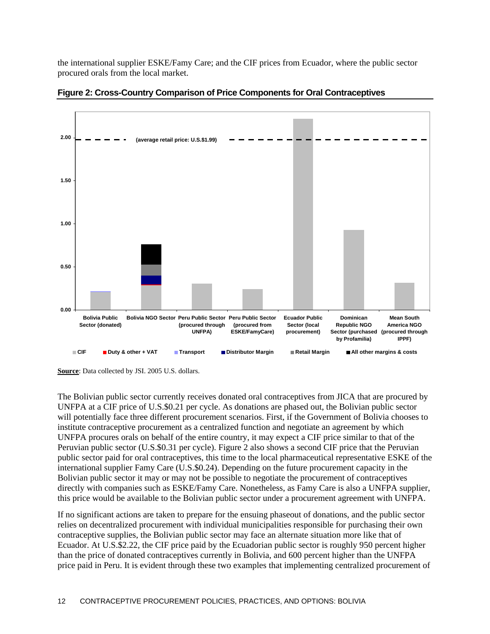<span id="page-25-0"></span>the international supplier ESKE/Famy Care; and the CIF prices from Ecuador, where the public sector procured orals from the local market.



**Figure 2: Cross-Country Comparison of Price Components for Oral Contraceptives** 

The Bolivian public sector currently receives donated oral contraceptives from JICA that are procured by UNFPA at a CIF price of U.S.\$0.21 per cycle. As donations are phased out, the Bolivian public sector will potentially face three different procurement scenarios. First, if the Government of Bolivia chooses to institute contraceptive procurement as a centralized function and negotiate an agreement by which UNFPA procures orals on behalf of the entire country, it may expect a CIF price similar to that of the Peruvian public sector (U.S.\$0.31 per cycle). Figure 2 also shows a second CIF price that the Peruvian public sector paid for oral contraceptives, this time to the local pharmaceutical representative ESKE of the international supplier Famy Care (U.S.\$0.24). Depending on the future procurement capacity in the Bolivian public sector it may or may not be possible to negotiate the procurement of contraceptives directly with companies such as ESKE/Famy Care. Nonetheless, as Famy Care is also a UNFPA supplier, this price would be available to the Bolivian public sector under a procurement agreement with UNFPA.

If no significant actions are taken to prepare for the ensuing phaseout of donations, and the public sector relies on decentralized procurement with individual municipalities responsible for purchasing their own contraceptive supplies, the Bolivian public sector may face an alternate situation more like that of Ecuador. At U.S.\$2.22, the CIF price paid by the Ecuadorian public sector is roughly 950 percent higher than the price of donated contraceptives currently in Bolivia, and 600 percent higher than the UNFPA price paid in Peru. It is evident through these two examples that implementing centralized procurement of

**Source**: Data collected by JSI. 2005 U.S. dollars.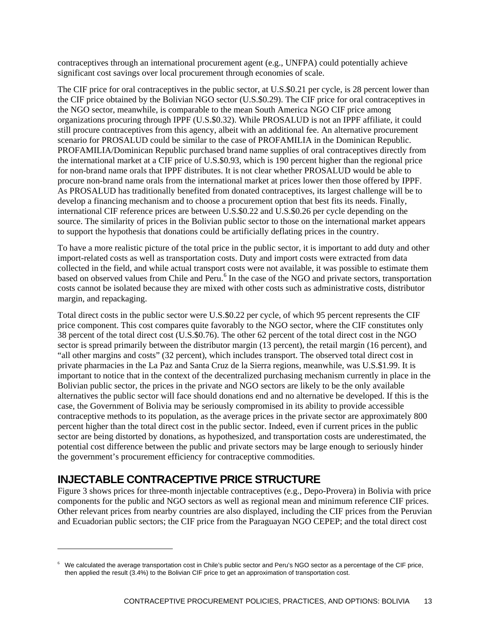<span id="page-26-0"></span>contraceptives through an international procurement agent (e.g., UNFPA) could potentially achieve significant cost savings over local procurement through economies of scale.

The CIF price for oral contraceptives in the public sector, at U.S.\$0.21 per cycle, is 28 percent lower than the CIF price obtained by the Bolivian NGO sector (U.S.\$0.29). The CIF price for oral contraceptives in the NGO sector, meanwhile, is comparable to the mean South America NGO CIF price among organizations procuring through IPPF (U.S.\$0.32). While PROSALUD is not an IPPF affiliate, it could still procure contraceptives from this agency, albeit with an additional fee. An alternative procurement scenario for PROSALUD could be similar to the case of PROFAMILIA in the Dominican Republic. PROFAMILIA/Dominican Republic purchased brand name supplies of oral contraceptives directly from the international market at a CIF price of U.S.\$0.93, which is 190 percent higher than the regional price for non-brand name orals that IPPF distributes. It is not clear whether PROSALUD would be able to procure non-brand name orals from the international market at prices lower then those offered by IPPF. As PROSALUD has traditionally benefited from donated contraceptives, its largest challenge will be to develop a financing mechanism and to choose a procurement option that best fits its needs. Finally, international CIF reference prices are between U.S.\$0.22 and U.S.\$0.26 per cycle depending on the source. The similarity of prices in the Bolivian public sector to those on the international market appears to support the hypothesis that donations could be artificially deflating prices in the country.

To have a more realistic picture of the total price in the public sector, it is important to add duty and other import-related costs as well as transportation costs. Duty and import costs were extracted from data collected in the field, and while actual transport costs were not available, it was possible to estimate them based on observed values from Chile and Peru.<sup>[6](#page-26-1)</sup> In the case of the NGO and private sectors, transportation costs cannot be isolated because they are mixed with other costs such as administrative costs, distributor margin, and repackaging.

Total direct costs in the public sector were U.S.\$0.22 per cycle, of which 95 percent represents the CIF price component. This cost compares quite favorably to the NGO sector, where the CIF constitutes only 38 percent of the total direct cost (U.S.\$0.76). The other 62 percent of the total direct cost in the NGO sector is spread primarily between the distributor margin (13 percent), the retail margin (16 percent), and "all other margins and costs" (32 percent), which includes transport. The observed total direct cost in private pharmacies in the La Paz and Santa Cruz de la Sierra regions, meanwhile, was U.S.\$1.99. It is important to notice that in the context of the decentralized purchasing mechanism currently in place in the Bolivian public sector, the prices in the private and NGO sectors are likely to be the only available alternatives the public sector will face should donations end and no alternative be developed. If this is the case, the Government of Bolivia may be seriously compromised in its ability to provide accessible contraceptive methods to its population, as the average prices in the private sector are approximately 800 percent higher than the total direct cost in the public sector. Indeed, even if current prices in the public sector are being distorted by donations, as hypothesized, and transportation costs are underestimated, the potential cost difference between the public and private sectors may be large enough to seriously hinder the government's procurement efficiency for contraceptive commodities.

## **INJECTABLE CONTRACEPTIVE PRICE STRUCTURE**

l

Figure 3 shows prices for three-month injectable contraceptives (e.g., Depo-Provera) in Bolivia with price components for the public and NGO sectors as well as regional mean and minimum reference CIF prices. Other relevant prices from nearby countries are also displayed, including the CIF prices from the Peruvian and Ecuadorian public sectors; the CIF price from the Paraguayan NGO CEPEP; and the total direct cost

<span id="page-26-1"></span><sup>&</sup>lt;sup>6</sup> We calculated the average transportation cost in Chile's public sector and Peru's NGO sector as a percentage of the CIF price, then applied the result (3.4%) to the Bolivian CIF price to get an approximation of transportation cost.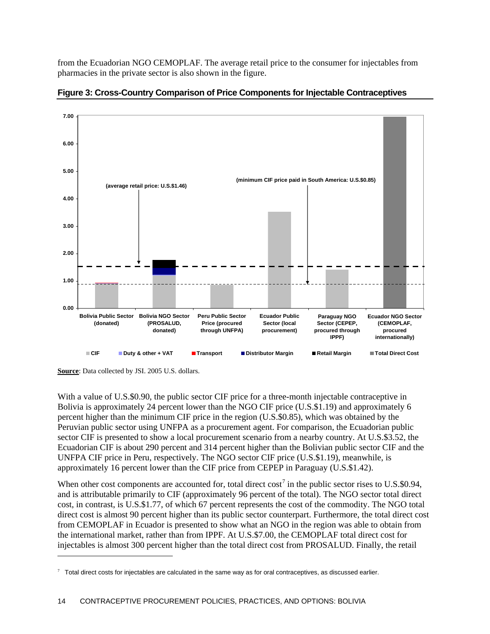from the Ecuadorian NGO CEMOPLAF. The average retail price to the consumer for injectables from pharmacies in the private sector is also shown in the figure.



**Figure 3: Cross-Country Comparison of Price Components for Injectable Contraceptives** 

l

With a value of U.S.\$0.90, the public sector CIF price for a three-month injectable contraceptive in Bolivia is approximately 24 percent lower than the NGO CIF price (U.S.\$1.19) and approximately 6 percent higher than the minimum CIF price in the region (U.S.\$0.85), which was obtained by the Peruvian public sector using UNFPA as a procurement agent. For comparison, the Ecuadorian public sector CIF is presented to show a local procurement scenario from a nearby country. At U.S.\$3.52, the Ecuadorian CIF is about 290 percent and 314 percent higher than the Bolivian public sector CIF and the UNFPA CIF price in Peru, respectively. The NGO sector CIF price (U.S.\$1.19), meanwhile, is approximately 16 percent lower than the CIF price from CEPEP in Paraguay (U.S.\$1.42).

When other cost components are accounted for, total direct cost<sup>[7](#page-27-0)</sup> in the public sector rises to U.S.\$0.94, and is attributable primarily to CIF (approximately 96 percent of the total). The NGO sector total direct cost, in contrast, is U.S.\$1.77, of which 67 percent represents the cost of the commodity. The NGO total direct cost is almost 90 percent higher than its public sector counterpart. Furthermore, the total direct cost from CEMOPLAF in Ecuador is presented to show what an NGO in the region was able to obtain from the international market, rather than from IPPF. At U.S.\$7.00, the CEMOPLAF total direct cost for injectables is almost 300 percent higher than the total direct cost from PROSALUD. Finally, the retail

**Source**: Data collected by JSI. 2005 U.S. dollars.

<span id="page-27-0"></span> $\sigma$  Total direct costs for injectables are calculated in the same way as for oral contraceptives, as discussed earlier.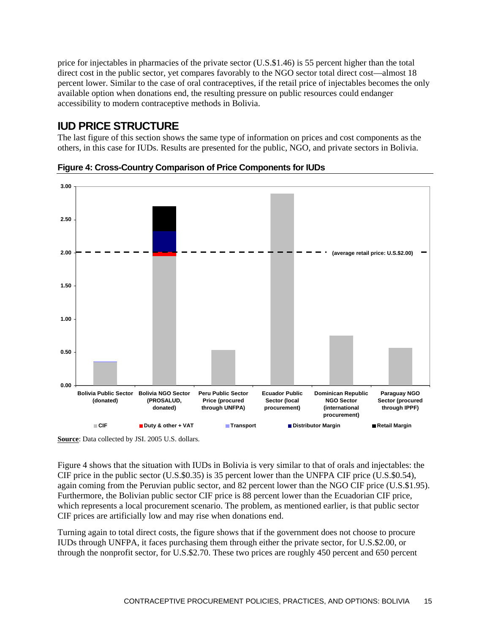price for injectables in pharmacies of the private sector (U.S.\$1.46) is 55 percent higher than the total direct cost in the public sector, yet compares favorably to the NGO sector total direct cost—almost 18 percent lower. Similar to the case of oral contraceptives, if the retail price of injectables becomes the only available option when donations end, the resulting pressure on public resources could endanger accessibility to modern contraceptive methods in Bolivia.

## **IUD PRICE STRUCTURE**

The last figure of this section shows the same type of information on prices and cost components as the others, in this case for IUDs. Results are presented for the public, NGO, and private sectors in Bolivia.



**Figure 4: Cross-Country Comparison of Price Components for IUDs** 

Figure 4 shows that the situation with IUDs in Bolivia is very similar to that of orals and injectables: the CIF price in the public sector (U.S.\$0.35) is 35 percent lower than the UNFPA CIF price (U.S.\$0.54), again coming from the Peruvian public sector, and 82 percent lower than the NGO CIF price (U.S.\$1.95). Furthermore, the Bolivian public sector CIF price is 88 percent lower than the Ecuadorian CIF price, which represents a local procurement scenario. The problem, as mentioned earlier, is that public sector CIF prices are artificially low and may rise when donations end.

Turning again to total direct costs, the figure shows that if the government does not choose to procure IUDs through UNFPA, it faces purchasing them through either the private sector, for U.S.\$2.00, or through the nonprofit sector, for U.S.\$2.70. These two prices are roughly 450 percent and 650 percent

**Source**: Data collected by JSI. 2005 U.S. dollars.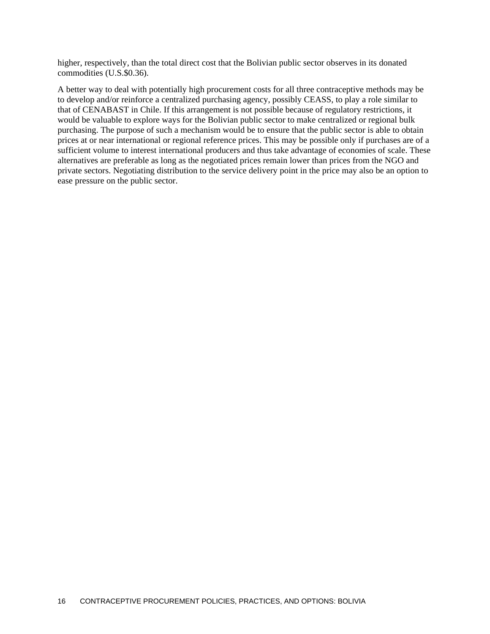higher, respectively, than the total direct cost that the Bolivian public sector observes in its donated commodities (U.S.\$0.36).

A better way to deal with potentially high procurement costs for all three contraceptive methods may be to develop and/or reinforce a centralized purchasing agency, possibly CEASS, to play a role similar to that of CENABAST in Chile. If this arrangement is not possible because of regulatory restrictions, it would be valuable to explore ways for the Bolivian public sector to make centralized or regional bulk purchasing. The purpose of such a mechanism would be to ensure that the public sector is able to obtain prices at or near international or regional reference prices. This may be possible only if purchases are of a sufficient volume to interest international producers and thus take advantage of economies of scale. These alternatives are preferable as long as the negotiated prices remain lower than prices from the NGO and private sectors. Negotiating distribution to the service delivery point in the price may also be an option to ease pressure on the public sector.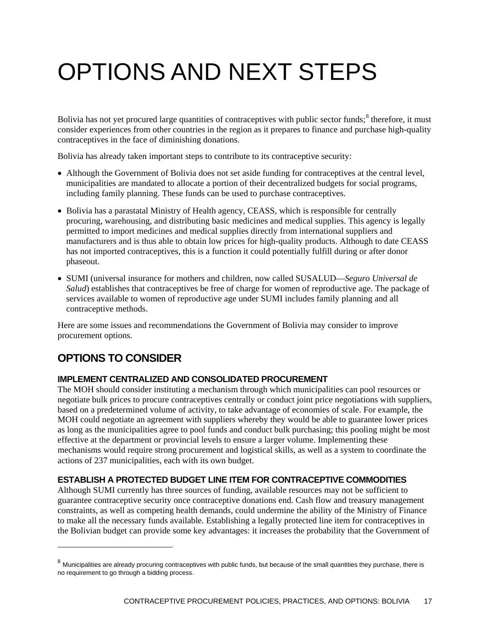# <span id="page-30-0"></span>OPTIONS AND NEXT STEPS

Bolivia has not yet procured large quantities of contraceptives with public sector funds;<sup>[8](#page-30-1)</sup> therefore, it must consider experiences from other countries in the region as it prepares to finance and purchase high-quality contraceptives in the face of diminishing donations.

Bolivia has already taken important steps to contribute to its contraceptive security:

- Although the Government of Bolivia does not set aside funding for contraceptives at the central level, municipalities are mandated to allocate a portion of their decentralized budgets for social programs, including family planning. These funds can be used to purchase contraceptives.
- Bolivia has a parastatal Ministry of Health agency, CEASS, which is responsible for centrally procuring, warehousing, and distributing basic medicines and medical supplies. This agency is legally permitted to import medicines and medical supplies directly from international suppliers and manufacturers and is thus able to obtain low prices for high-quality products. Although to date CEASS has not imported contraceptives, this is a function it could potentially fulfill during or after donor phaseout.
- • SUMI (universal insurance for mothers and children, now called SUSALUD—*Seguro Universal de Salud*) establishes that contraceptives be free of charge for women of reproductive age. The package of services available to women of reproductive age under SUMI includes family planning and all contraceptive methods.

Here are some issues and recommendations the Government of Bolivia may consider to improve procurement options.

## **OPTIONS TO CONSIDER**

l

### **IMPLEMENT CENTRALIZED AND CONSOLIDATED PROCUREMENT**

The MOH should consider instituting a mechanism through which municipalities can pool resources or negotiate bulk prices to procure contraceptives centrally or conduct joint price negotiations with suppliers, based on a predetermined volume of activity, to take advantage of economies of scale. For example, the MOH could negotiate an agreement with suppliers whereby they would be able to guarantee lower prices as long as the municipalities agree to pool funds and conduct bulk purchasing; this pooling might be most effective at the department or provincial levels to ensure a larger volume. Implementing these mechanisms would require strong procurement and logistical skills, as well as a system to coordinate the actions of 237 municipalities, each with its own budget.

### **ESTABLISH A PROTECTED BUDGET LINE ITEM FOR CONTRACEPTIVE COMMODITIES**

Although SUMI currently has three sources of funding, available resources may not be sufficient to guarantee contraceptive security once contraceptive donations end. Cash flow and treasury management constraints, as well as competing health demands, could undermine the ability of the Ministry of Finance to make all the necessary funds available. Establishing a legally protected line item for contraceptives in the Bolivian budget can provide some key advantages: it increases the probability that the Government of

<span id="page-30-1"></span> $8$  Municipalities are already procuring contraceptives with public funds, but because of the small quantities they purchase, there is no requirement to go through a bidding process.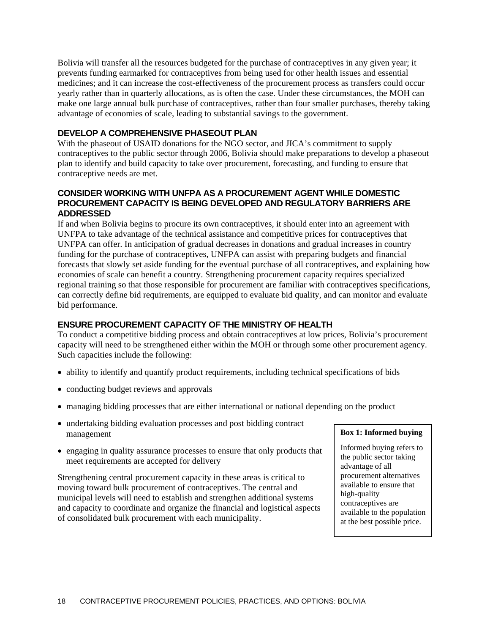Bolivia will transfer all the resources budgeted for the purchase of contraceptives in any given year; it prevents funding earmarked for contraceptives from being used for other health issues and essential medicines; and it can increase the cost-effectiveness of the procurement process as transfers could occur yearly rather than in quarterly allocations, as is often the case. Under these circumstances, the MOH can make one large annual bulk purchase of contraceptives, rather than four smaller purchases, thereby taking advantage of economies of scale, leading to substantial savings to the government.

### **DEVELOP A COMPREHENSIVE PHASEOUT PLAN**

With the phaseout of USAID donations for the NGO sector, and JICA's commitment to supply contraceptives to the public sector through 2006, Bolivia should make preparations to develop a phaseout plan to identify and build capacity to take over procurement, forecasting, and funding to ensure that contraceptive needs are met.

### **CONSIDER WORKING WITH UNFPA AS A PROCUREMENT AGENT WHILE DOMESTIC PROCUREMENT CAPACITY IS BEING DEVELOPED AND REGULATORY BARRIERS ARE ADDRESSED**

If and when Bolivia begins to procure its own contraceptives, it should enter into an agreement with UNFPA to take advantage of the technical assistance and competitive prices for contraceptives that UNFPA can offer. In anticipation of gradual decreases in donations and gradual increases in country funding for the purchase of contraceptives, UNFPA can assist with preparing budgets and financial forecasts that slowly set aside funding for the eventual purchase of all contraceptives, and explaining how economies of scale can benefit a country. Strengthening procurement capacity requires specialized regional training so that those responsible for procurement are familiar with contraceptives specifications, can correctly define bid requirements, are equipped to evaluate bid quality, and can monitor and evaluate bid performance.

### **ENSURE PROCUREMENT CAPACITY OF THE MINISTRY OF HEALTH**

To conduct a competitive bidding process and obtain contraceptives at low prices, Bolivia's procurement capacity will need to be strengthened either within the MOH or through some other procurement agency. Such capacities include the following:

- ability to identify and quantify product requirements, including technical specifications of bids
- conducting budget reviews and approvals
- managing bidding processes that are either international or national depending on the product
- undertaking bidding evaluation processes and post bidding contract management
- • engaging in quality assurance processes to ensure that only products that meet requirements are accepted for delivery

Strengthening central procurement capacity in these areas is critical to moving toward bulk procurement of contraceptives. The central and municipal levels will need to establish and strengthen additional systems and capacity to coordinate and organize the financial and logistical aspects of consolidated bulk procurement with each municipality.

#### **Box 1: Informed buying**

Informed buying refers to the public sector taking advantage of all procurement alternatives available to ensure that high-quality contraceptives are available to the population at the best possible price.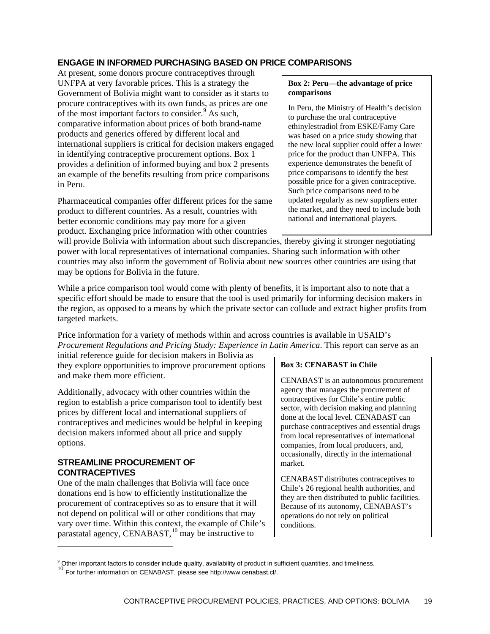### **ENGAGE IN INFORMED PURCHASING BASED ON PRICE COMPARISONS**

At present, some donors procure contraceptives through UNFPA at very favorable prices. This is a strategy the Government of Bolivia might want to consider as it starts to procure contraceptives with its own funds, as prices are one of the most important factors to consider.  $8$  As such, comparative information about prices of both brand-name products and generics offered by different local and international suppliers is critical for decision makers engaged in identifying contraceptive procurement options. Box 1 provides a definition of informed buying and box 2 presents an example of the benefits resulting from price comparisons in Peru.

Pharmaceutical companies offer different prices for the same product to different countries. As a result, countries with better economic conditions may pay more for a given product. Exchanging price information with other countries

#### **Box 2: Peru—the advantage of price comparisons**

 the market, and they need to include both In Peru, the Ministry of Health's decision to purchase the oral contraceptive ethinylestradiol from ESKE/Famy Care was based on a price study showing that the new local supplier could offer a lower price for the product than UNFPA. This experience demonstrates the benefit of price comparisons to identify the best possible price for a given contraceptive. Such price comparisons need to be updated regularly as new suppliers enter national and international players.

will provide Bolivia with information about such discrepancies, thereby giving it stronger negotiating power with local representatives of international companies. Sharing such information with other countries may also inform the government of Bolivia about new sources other countries are using that may be options for Bolivia in the future.

While a price comparison tool would come with plenty of benefits, it is important also to note that a specific effort should be made to ensure that the tool is used primarily for informing decision makers in the region, as opposed to a means by which the private sector can collude and extract higher profits from targeted markets.

Price information for a variety of methods within and across countries is available in USAID's *Procurement Regulations and Pricing Study: Experience in Latin America*. This report can serve as an

initial reference guide for decision makers in Bolivia as they explore opportunities to improve procurement options and make them more efficient.

Additionally, advocacy with other countries within the region to establish a price comparison tool to identify best prices by different local and international suppliers of contraceptives and medicines would be helpful in keeping decision makers informed about all price and supply options.

### **STREAMLINE PROCUREMENT OF CONTRACEPTIVES**

l

One of the main challenges that Bolivia will face once donations end is how to efficiently institutionalize the procurement of contraceptives so as to ensure that it will not depend on political will or other conditions that may vary over time. Within this context, the example of Chile's parastatal agency, CENABAST,  $10$  $10$  may be instructive to

### **Box 3: CENABAST in Chile**

CENABAST is an autonomous procurement agency that manages the procurement of contraceptives for Chile's entire public sector, with decision making and planning done at the local level. CENABAST can purchase contraceptives and essential drugs from local representatives of international companies, from local producers, and, occasionally, directly in the international market.

CENABAST distributes contraceptives to Chile's 26 regional health authorities, and they are then distributed to public facilities. Because of its autonomy, CENABAST's operations do not rely on political conditions.

<span id="page-32-1"></span><span id="page-32-0"></span><sup>9</sup> Other important factors to consider include quality, availability of product in sufficient quantities, and timeliness.

<sup>&</sup>lt;sup>10</sup> For further information on CENABAST, please see http://www.cenabast.cl/.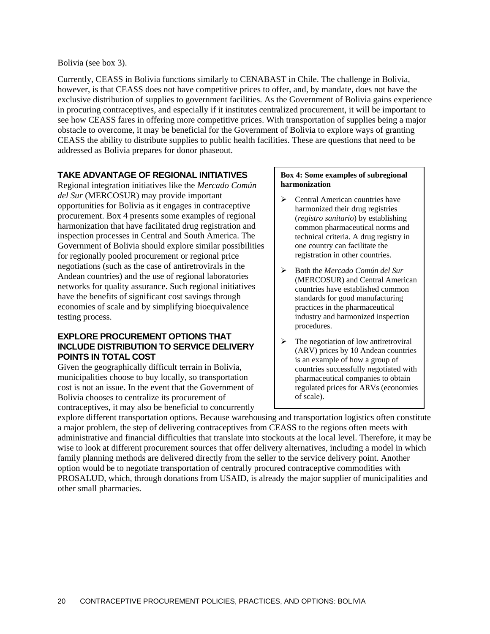Bolivia (see box 3).

Currently, CEASS in Bolivia functions similarly to CENABAST in Chile. The challenge in Bolivia, however, is that CEASS does not have competitive prices to offer, and, by mandate, does not have the exclusive distribution of supplies to government facilities. As the Government of Bolivia gains experience in procuring contraceptives, and especially if it institutes centralized procurement, it will be important to see how CEASS fares in offering more competitive prices. With transportation of supplies being a major obstacle to overcome, it may be beneficial for the Government of Bolivia to explore ways of granting CEASS the ability to distribute supplies to public health facilities. These are questions that need to be addressed as Bolivia prepares for donor phaseout.

### **TAKE ADVANTAGE OF REGIONAL INITIATIVES**

Regional integration initiatives like the *Mercado Común del Sur* (MERCOSUR) may provide important opportunities for Bolivia as it engages in contraceptive procurement. Box 4 presents some examples of regional harmonization that have facilitated drug registration and inspection processes in Central and South America. The Government of Bolivia should explore similar possibilities for regionally pooled procurement or regional price negotiations (such as the case of antiretrovirals in the Andean countries) and the use of regional laboratories networks for quality assurance. Such regional initiatives have the benefits of significant cost savings through economies of scale and by simplifying bioequivalence testing process.

### **EXPLORE PROCUREMENT OPTIONS THAT INCLUDE DISTRIBUTION TO SERVICE DELIVERY POINTS IN TOTAL COST**

Given the geographically difficult terrain in Bolivia, municipalities choose to buy locally, so transportation cost is not an issue. In the event that the Government of Bolivia chooses to centralize its procurement of contraceptives, it may also be beneficial to concurrently

#### **Box 4: Some examples of subregional harmonization**

- (*registro sanitario*) by establishing registration in other countries.  $\triangleright$  Central American countries have harmonized their drug registries common pharmaceutical norms and technical criteria. A drug registry in one country can facilitate the
- procedures. ¾ Both the *Mercado Común del Sur*  (MERCOSUR) and Central American countries have established common standards for good manufacturing practices in the pharmaceutical industry and harmonized inspection
- $\triangleright$  The negotiation of low antiretroviral (ARV) prices by 10 Andean countries is an example of how a group of countries successfully negotiated with pharmaceutical companies to obtain regulated prices for ARVs (economies of scale).

explore different transportation options. Because warehousing and transportation logistics often constitute a major problem, the step of delivering contraceptives from CEASS to the regions often meets with administrative and financial difficulties that translate into stockouts at the local level. Therefore, it may be wise to look at different procurement sources that offer delivery alternatives, including a model in which family planning methods are delivered directly from the seller to the service delivery point. Another option would be to negotiate transportation of centrally procured contraceptive commodities with PROSALUD, which, through donations from USAID, is already the major supplier of municipalities and other small pharmacies.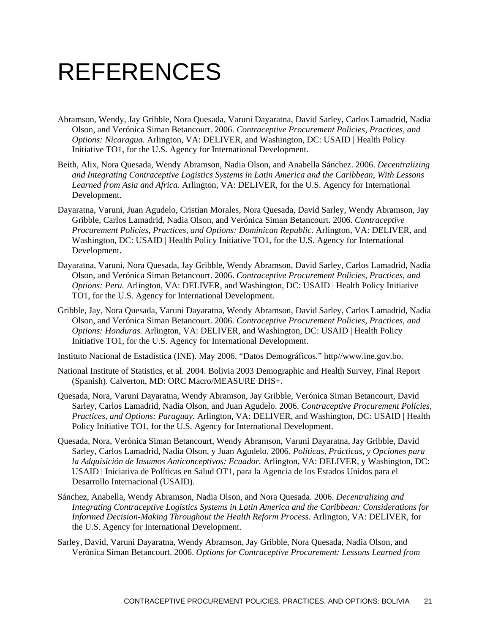## <span id="page-34-0"></span>REFERENCES

- Abramson, Wendy, Jay Gribble, Nora Quesada, Varuni Dayaratna, David Sarley, Carlos Lamadrid, Nadia Olson, and Verónica Siman Betancourt. 2006. *Contraceptive Procurement Policies, Practices, and Options: Nicaragua.* Arlington, VA: DELIVER, and Washington, DC: USAID | Health Policy Initiative TO1, for the U.S. Agency for International Development.
- Beith, Alix, Nora Quesada, Wendy Abramson, Nadia Olson, and Anabella Sánchez. 2006. *Decentralizing and Integrating Contraceptive Logistics Systems in Latin America and the Caribbean, With Lessons Learned from Asia and Africa.* Arlington, VA: DELIVER, for the U.S. Agency for International Development.
- Dayaratna, Varuni, Juan Agudelo, Cristian Morales, Nora Quesada, David Sarley, Wendy Abramson, Jay Gribble, Carlos Lamadrid, Nadia Olson, and Verónica Siman Betancourt. 2006. *Contraceptive Procurement Policies, Practices, and Options: Dominican Republic.* Arlington, VA: DELIVER, and Washington, DC: USAID | Health Policy Initiative TO1, for the U.S. Agency for International Development.
- Dayaratna, Varuni, Nora Quesada, Jay Gribble, Wendy Abramson, David Sarley, Carlos Lamadrid, Nadia Olson, and Verónica Siman Betancourt. 2006. *Contraceptive Procurement Policies, Practices, and Options: Peru.* Arlington, VA: DELIVER, and Washington, DC: USAID | Health Policy Initiative TO1, for the U.S. Agency for International Development.
- Gribble, Jay, Nora Quesada, Varuni Dayaratna, Wendy Abramson, David Sarley, Carlos Lamadrid, Nadia Olson, and Verónica Siman Betancourt. 2006. *Contraceptive Procurement Policies, Practices, and Options: Honduras.* Arlington, VA: DELIVER, and Washington, DC: USAID | Health Policy Initiative TO1, for the U.S. Agency for International Development.
- Instituto Nacional de Estadística (INE). May 2006. "Datos Demográficos." http//www.ine.gov.bo.
- National Institute of Statistics, et al. 2004. Bolivia 2003 Demographic and Health Survey, Final Report (Spanish). Calverton, MD: ORC Macro/MEASURE DHS+.
- Quesada, Nora, Varuni Dayaratna, Wendy Abramson, Jay Gribble, Verónica Siman Betancourt, David Sarley, Carlos Lamadrid, Nadia Olson, and Juan Agudelo. 2006. *Contraceptive Procurement Policies, Practices, and Options: Paraguay.* Arlington, VA: DELIVER, and Washington, DC: USAID | Health Policy Initiative TO1, for the U.S. Agency for International Development.
- Quesada, Nora, Verónica Siman Betancourt, Wendy Abramson, Varuni Dayaratna, Jay Gribble, David Sarley, Carlos Lamadrid, Nadia Olson, y Juan Agudelo. 2006. *Políticas, Prácticas, y Opciones para la Adquisición de Insumos Anticonceptivos: Ecuador.* Arlington, VA: DELIVER, y Washington, DC: USAID | Iniciativa de Políticas en Salud OT1, para la Agencia de los Estados Unidos para el Desarrollo Internacional (USAID).
- Sánchez, Anabella, Wendy Abramson, Nadia Olson, and Nora Quesada. 2006. *Decentralizing and Integrating Contraceptive Logistics Systems in Latin America and the Caribbean: Considerations for Informed Decision-Making Throughout the Health Reform Process.* Arlington, VA: DELIVER, for the U.S. Agency for International Development.
- Sarley, David, Varuni Dayaratna, Wendy Abramson, Jay Gribble, Nora Quesada, Nadia Olson, and Verónica Siman Betancourt. 2006. *Options for Contraceptive Procurement: Lessons Learned from*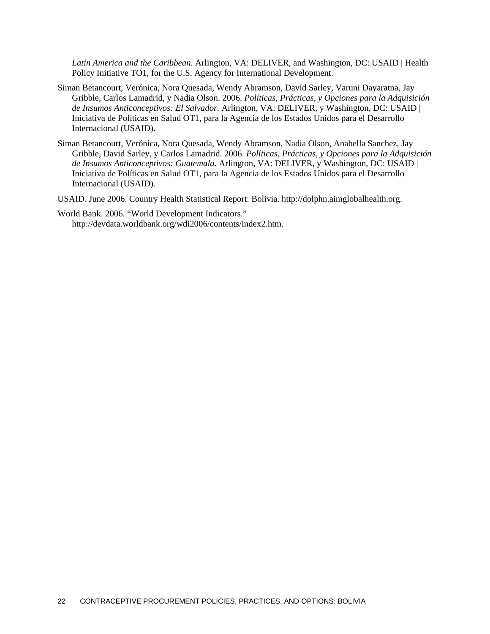*Latin America and the Caribbean.* Arlington, VA: DELIVER, and Washington, DC: USAID | Health Policy Initiative TO1, for the U.S. Agency for International Development.

- Siman Betancourt, Verónica, Nora Quesada, Wendy Abramson, David Sarley, Varuni Dayaratna, Jay Gribble, Carlos Lamadrid, y Nadia Olson. 2006. *Políticas, Prácticas, y Opciones para la Adquisición de Insumos Anticonceptivos: El Salvador.* Arlington, VA: DELIVER, y Washington, DC: USAID | Iniciativa de Políticas en Salud OT1, para la Agencia de los Estados Unidos para el Desarrollo Internacional (USAID).
- Siman Betancourt, Verónica, Nora Quesada, Wendy Abramson, Nadia Olson, Anabella Sanchez, Jay Gribble, David Sarley, y Carlos Lamadrid. 2006. *Políticas, Prácticas, y Opciones para la Adquisición de Insumos Anticonceptivos: Guatemala.* Arlington, VA: DELIVER, y Washington, DC: USAID | Iniciativa de Políticas en Salud OT1, para la Agencia de los Estados Unidos para el Desarrollo Internacional (USAID).

USAID. June 2006. Country Health Statistical Report: Bolivia. [http://dolphn.aimglobalhealth.org](http://dolphn.aimglobalhealth.org/).

World Bank. 2006. "World Development Indicators." http://devdata.worldbank.org/wdi2006/contents/index2.htm.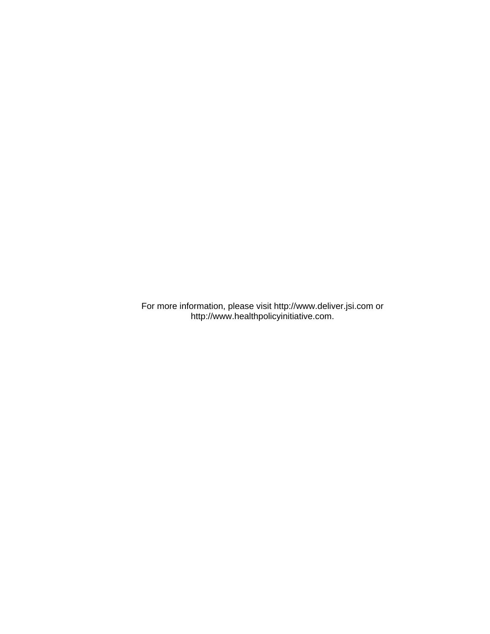For more information, please visit http://www.deliver.jsi.com or http://www.healthpolicyinitiative.com.